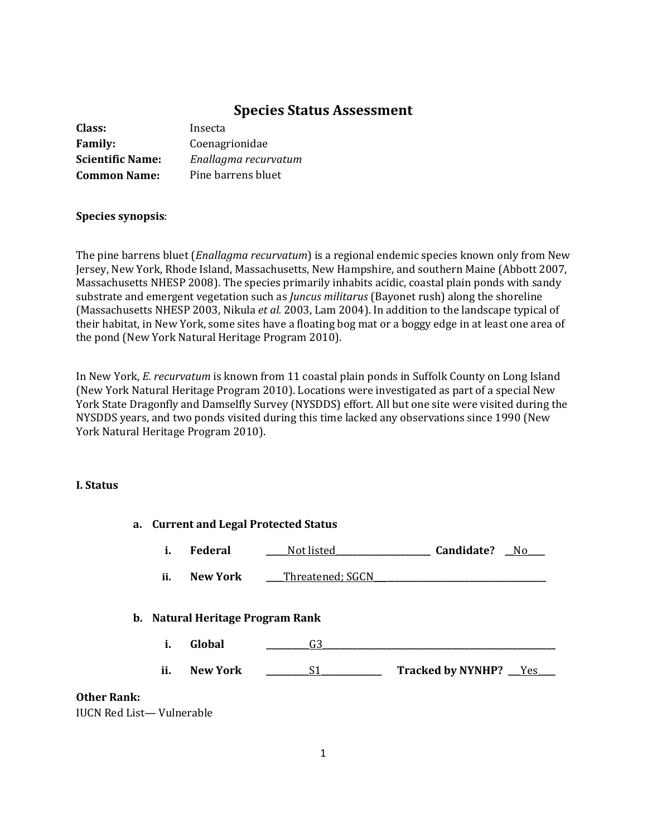# **Species Status Assessment**

| Class:                  | Insecta              |
|-------------------------|----------------------|
| <b>Family:</b>          | Coenagrionidae       |
| <b>Scientific Name:</b> | Enallagma recurvatum |
| <b>Common Name:</b>     | Pine barrens bluet   |

#### **Species synopsis**:

The pine barrens bluet (*Enallagma recurvatum*) is a regional endemic species known only from New Jersey, New York, Rhode Island, Massachusetts, New Hampshire, and southern Maine (Abbott 2007, Massachusetts NHESP 2008). The species primarily inhabits acidic, coastal plain ponds with sandy substrate and emergent vegetation such as *Juncus militarus* (Bayonet rush) along the shoreline (Massachusetts NHESP 2003, Nikula *et al.* 2003, Lam 2004). In addition to the landscape typical of their habitat, in New York, some sites have a floating bog mat or a boggy edge in at least one area of the pond (New York Natural Heritage Program 2010).

In New York, *E. recurvatum* is known from 11 coastal plain ponds in Suffolk County on Long Island (New York Natural Heritage Program 2010). Locations were investigated as part of a special New York State Dragonfly and Damselfly Survey (NYSDDS) effort. All but one site were visited during the NYSDDS years, and two ponds visited during this time lacked any observations since 1990 (New York Natural Heritage Program 2010).

#### **I. Status**

|                                                       |     | a. Current and Legal Protected Status |                  |                         |       |
|-------------------------------------------------------|-----|---------------------------------------|------------------|-------------------------|-------|
|                                                       | i.  | Federal                               | Not listed_      | Candidate?              | $N_0$ |
|                                                       | ii. | <b>New York</b>                       | Threatened; SGCN |                         |       |
|                                                       |     | b. Natural Heritage Program Rank      |                  |                         |       |
|                                                       | i.  | Global                                | G3               |                         |       |
|                                                       | ii. | <b>New York</b>                       | S1               | Tracked by NYNHP? __Yes |       |
| <b>Other Rank:</b><br><b>IUCN Red List-Vulnerable</b> |     |                                       |                  |                         |       |

1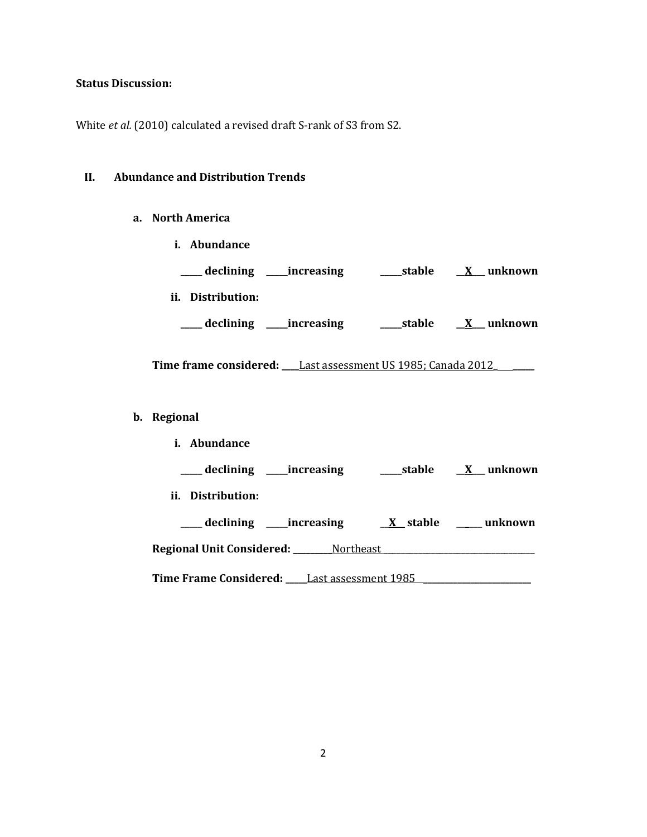# **Status Discussion:**

White et al. (2010) calculated a revised draft S-rank of S3 from S2.

#### II. **Abundance and Distribution Trends**

#### a. North America

i. Abundance

| declining         | _increasing | stable | unknown |
|-------------------|-------------|--------|---------|
| ii. Distribution: |             |        |         |
| declining         | increasing  | stable | unknown |

Time frame considered: Last assessment US 1985; Canada 2012

# b. Regional

| <i>i.</i> Abundance                                 |        |                              |
|-----------------------------------------------------|--------|------------------------------|
| ____ declining _____ increasing                     | stable | <b>X</b> unknown             |
| ii. Distribution:                                   |        |                              |
| declining _____increasing                           |        | <u>X</u> stable ____ unknown |
| <b>Regional Unit Considered:</b> ________ Northeast |        |                              |
| Time Frame Considered: Last assessment 1985         |        |                              |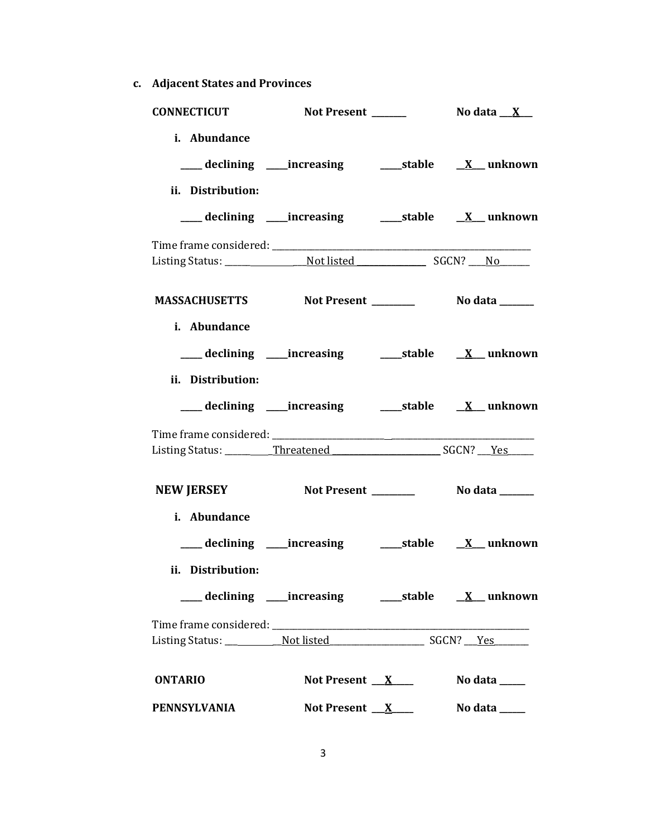**c. Adjacent States and Provinces**

| <b>CONNECTICUT</b>                                  |                                                                   |                |
|-----------------------------------------------------|-------------------------------------------------------------------|----------------|
| i. Abundance                                        | ___ declining ____increasing ______stable __ <u>X</u> __ unknown  |                |
| ii. Distribution:                                   | ___ declining ____increasing ______stable ___ X__ unknown         |                |
|                                                     |                                                                   |                |
|                                                     |                                                                   |                |
| MASSACHUSETTS Not Present __________ No data ______ |                                                                   |                |
| i. Abundance                                        |                                                                   |                |
|                                                     | ___ declining ____increasing ______stable ___ <u>X</u> __ unknown |                |
| ii. Distribution:                                   |                                                                   |                |
|                                                     | ___ declining ____increasing ______stable ___ X___ unknown        |                |
|                                                     |                                                                   |                |
| <b>NEW JERSEY</b>                                   | Not Present _______                                               | No data ______ |
| i. Abundance                                        |                                                                   |                |
|                                                     | ___ declining ____increasing ______stable ___ X___ unknown        |                |
| ii. Distribution:                                   |                                                                   |                |
|                                                     |                                                                   |                |
|                                                     |                                                                   |                |
| <b>ONTARIO</b>                                      | Not Present $X_{-}$                                               | No data _____  |
| PENNSYLVANIA Not Present X No data ____             |                                                                   |                |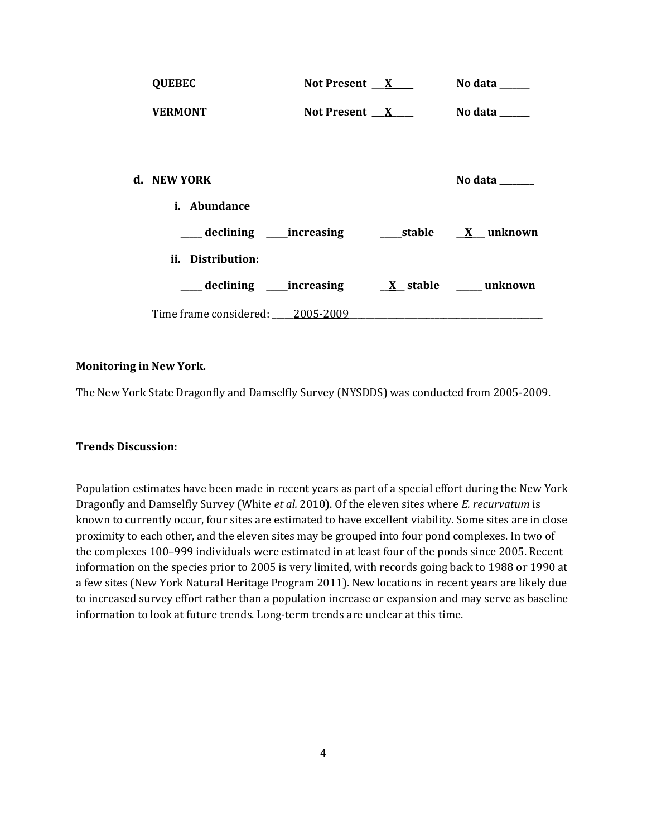| <b>QUEBEC</b>                    | Not Present $X$ | No data $\_\_\_\_\_\_\_\_\_\_\_\$ |
|----------------------------------|-----------------|-----------------------------------|
| <b>VERMONT</b>                   | Not Present $X$ | No data ______                    |
|                                  |                 |                                   |
| d. NEW YORK                      |                 | No data ______                    |
| <i>i.</i> Abundance              |                 |                                   |
|                                  |                 |                                   |
| ii. Distribution:                |                 |                                   |
|                                  |                 |                                   |
| Time frame considered: 2005-2009 |                 |                                   |

## **Monitoring in New York.**

The New York State Dragonfly and Damselfly Survey (NYSDDS) was conducted from 2005-2009.

#### **Trends Discussion:**

Population estimates have been made in recent years as part of a special effort during the New York Dragonfly and Damselfly Survey (White *et al.* 2010). Of the eleven sites where *E. recurvatum* is known to currently occur, four sites are estimated to have excellent viability. Some sites are in close proximity to each other, and the eleven sites may be grouped into four pond complexes. In two of the complexes 100–999 individuals were estimated in at least four of the ponds since 2005. Recent information on the species prior to 2005 is very limited, with records going back to 1988 or 1990 at a few sites (New York Natural Heritage Program 2011). New locations in recent years are likely due to increased survey effort rather than a population increase or expansion and may serve as baseline information to look at future trends. Long-term trends are unclear at this time.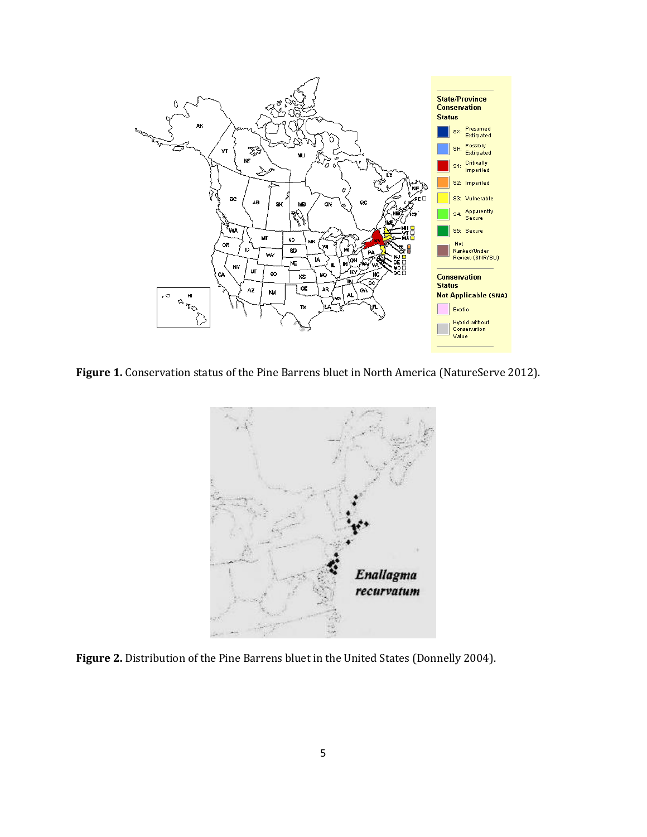

**Figure 1.** Conservation status of the Pine Barrens bluet in North America (NatureServe 2012).



**Figure 2.** Distribution of the Pine Barrens bluet in the United States (Donnelly 2004).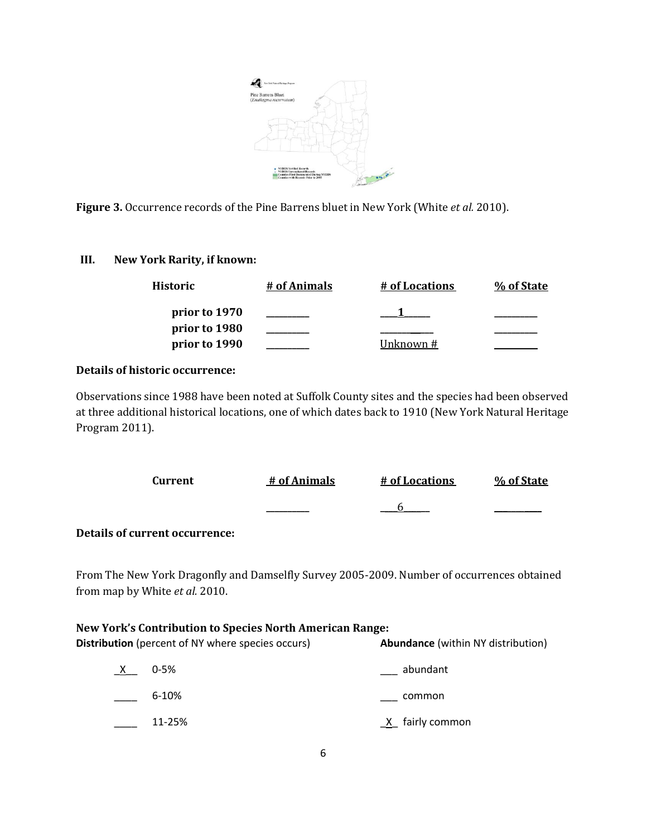

**Figure 3.** Occurrence records of the Pine Barrens bluet in New York (White *et al.* 2010).

## **III. New York Rarity, if known:**

| <b>Historic</b> | # of Animals | # of Locations | % of State |
|-----------------|--------------|----------------|------------|
| prior to 1970   |              |                |            |
| prior to 1980   |              |                |            |
| prior to 1990   |              | Unknown $#$    |            |

# **Details of historic occurrence:**

Observations since 1988 have been noted at Suffolk County sites and the species had been observed at three additional historical locations, one of which dates back to 1910 (New York Natural Heritage Program 2011).

| Current | # of Animals | # of Locations | % of State |
|---------|--------------|----------------|------------|
|         |              |                |            |

#### **Details of current occurrence:**

From The New York Dragonfly and Damselfly Survey 2005-2009. Number of occurrences obtained from map by White *et al.* 2010.

# **New York's Contribution to Species North American Range:**

**Distribution** (percent of NY where species occurs) **Abundance** (within NY distribution)

X 0-5%  $\blacksquare$ \_\_\_\_ 6-10% \_\_\_ common 11-25%  $\overline{X}$  fairly common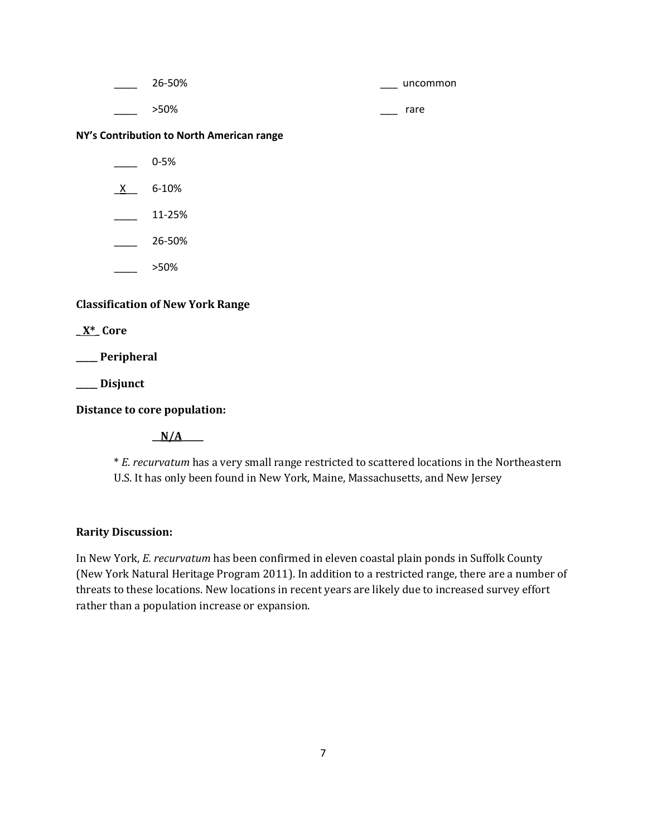| 26-50% |      | uncommon |
|--------|------|----------|
| >50%   | ____ | rare     |

### **NY's Contribution to North American range**

|    | 0-5%   |
|----|--------|
| x. | 6-10%  |
|    | 11-25% |
|    | 26-50% |
|    | >50%   |

#### **Classification of New York Range**

**\_ X\*\_ Core**

**\_\_\_\_\_ Peripheral**

**\_\_\_\_\_ Disjunct**

#### **Distance to core population:**

**\_\_N/A\_\_\_\_\_**

\* *E. recurvatum* has a very small range restricted to scattered locations in the Northeastern U.S. It has only been found in New York, Maine, Massachusetts, and New Jersey

#### **Rarity Discussion:**

In New York, *E. recurvatum* has been confirmed in eleven coastal plain ponds in Suffolk County (New York Natural Heritage Program 2011). In addition to a restricted range, there are a number of threats to these locations. New locations in recent years are likely due to increased survey effort rather than a population increase or expansion.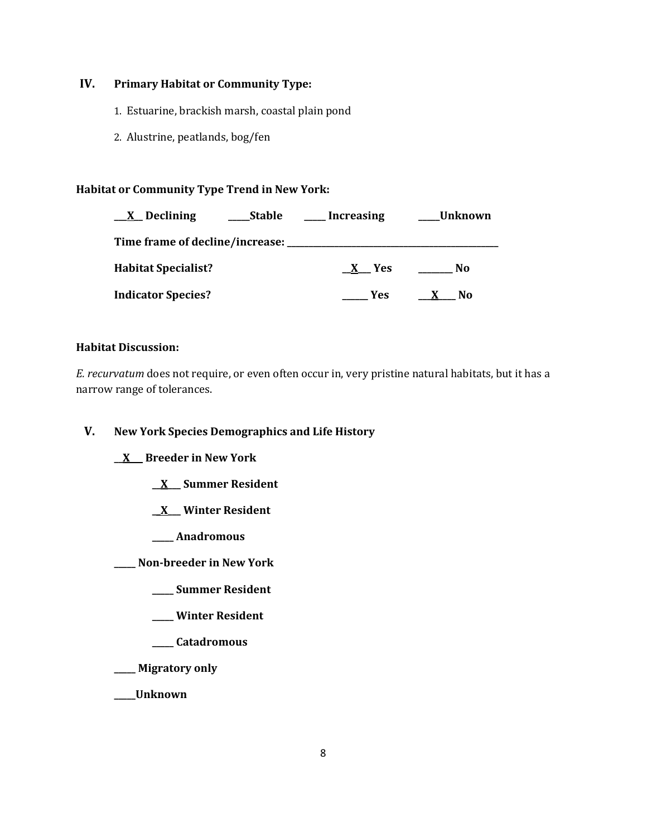#### IV. **Primary Habitat or Community Type:**

- 1. Estuarine, brackish marsh, coastal plain pond
- 2. Alustrine, peatlands, bog/fen

#### **Habitat or Community Type Trend in New York:**

| $\underline{\mathbf{X}}$ Declining | <b>Stable</b> | <b>Increasing</b> | Unknown |
|------------------------------------|---------------|-------------------|---------|
| Time frame of decline/increase: __ |               |                   |         |
| <b>Habitat Specialist?</b>         |               | <b>Yes</b>        | No      |
| <b>Indicator Species?</b>          |               | Yes               | No.     |

#### **Habitat Discussion:**

E. recurvatum does not require, or even often occur in, very pristine natural habitats, but it has a narrow range of tolerances.

#### V. **New York Species Demographics and Life History**

 $\underline{X}$  Breeder in New York

- $X$  Summer Resident
- $X$  Winter Resident
- \_\_\_ Anadromous

\_\_\_ Non-breeder in New York

- \_\_\_\_ Summer Resident
- \_\_\_ Winter Resident
- \_\_\_ Catadromous
- \_\_\_ Migratory only
- **Unknown**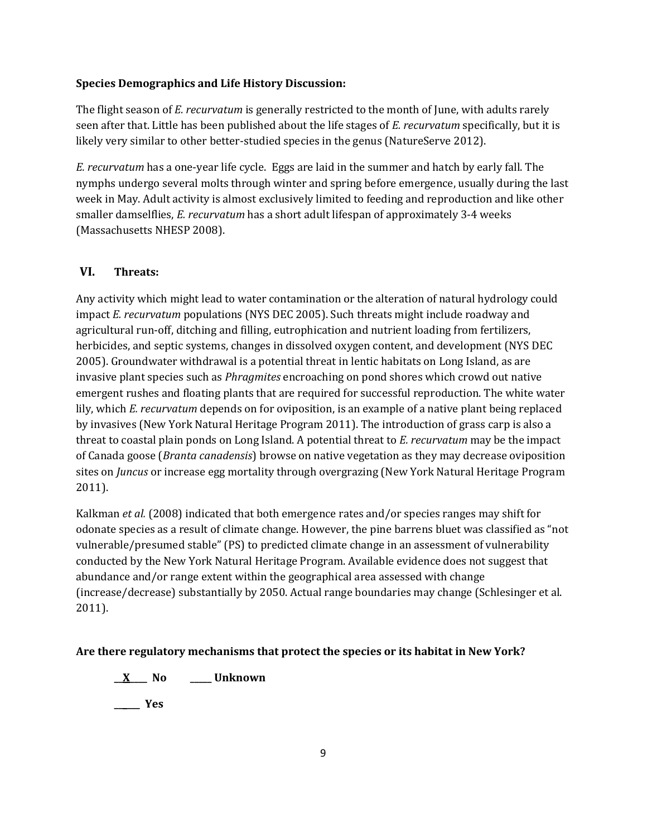# **Species Demographics and Life History Discussion:**

The flight season of *E. recurvatum* is generally restricted to the month of June, with adults rarely seen after that. Little has been published about the life stages of *E. recurvatum* specifically, but it is likely very similar to other better-studied species in the genus (NatureServe 2012).

*E. recurvatum* has a one-year life cycle. Eggs are laid in the summer and hatch by early fall. The nymphs undergo several molts through winter and spring before emergence, usually during the last week in May. Adult activity is almost exclusively limited to feeding and reproduction and like other smaller damselflies, *E. recurvatum* has a short adult lifespan of approximately 3-4 weeks (Massachusetts NHESP 2008).

# **VI. Threats:**

Any activity which might lead to water contamination or the alteration of natural hydrology could impact *E. recurvatum* populations (NYS DEC 2005). Such threats might include roadway and agricultural run-off, ditching and filling, eutrophication and nutrient loading from fertilizers, herbicides, and septic systems, changes in dissolved oxygen content, and development (NYS DEC 2005). Groundwater withdrawal is a potential threat in lentic habitats on Long Island, as are invasive plant species such as *Phragmites* encroaching on pond shores which crowd out native emergent rushes and floating plants that are required for successful reproduction. The white water lily, which *E. recurvatum* depends on for oviposition, is an example of a native plant being replaced by invasives (New York Natural Heritage Program 2011). The introduction of grass carp is also a threat to coastal plain ponds on Long Island. A potential threat to *E. recurvatum* may be the impact of Canada goose (*Branta canadensis*) browse on native vegetation as they may decrease oviposition sites on *Juncus* or increase egg mortality through overgrazing (New York Natural Heritage Program 2011).

Kalkman *et al.* (2008) indicated that both emergence rates and/or species ranges may shift for odonate species as a result of climate change. However, the pine barrens bluet was classified as "not vulnerable/presumed stable" (PS) to predicted climate change in an assessment of vulnerability conducted by the New York Natural Heritage Program. Available evidence does not suggest that abundance and/or range extent within the geographical area assessed with change (increase/decrease) substantially by 2050. Actual range boundaries may change (Schlesinger et al. 2011).

# **Are there regulatory mechanisms that protect the species or its habitat in New York?**

**\_\_X\_\_\_\_ No \_\_\_\_\_ Unknown**

**\_\_\_\_\_\_ Yes**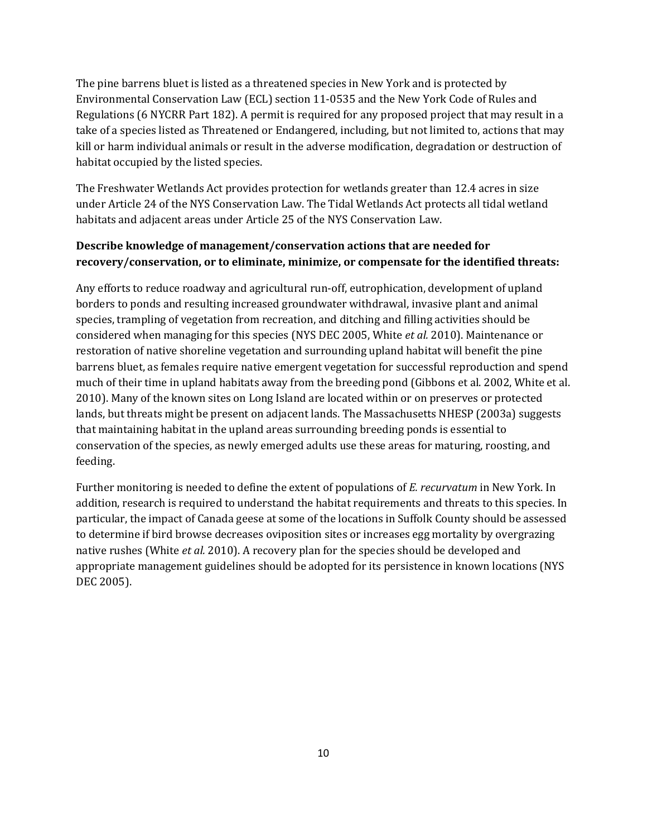The pine barrens bluet is listed as a threatened species in New York and is protected by Environmental Conservation Law (ECL) section 11-0535 and the New York Code of Rules and Regulations (6 NYCRR Part 182). A permit is required for any proposed project that may result in a take of a species listed as Threatened or Endangered, including, but not limited to, actions that may kill or harm individual animals or result in the adverse modification, degradation or destruction of habitat occupied by the listed species.

The Freshwater Wetlands Act provides protection for wetlands greater than 12.4 acres in size under Article 24 of the NYS Conservation Law. The Tidal Wetlands Act protects all tidal wetland habitats and adjacent areas under Article 25 of the NYS Conservation Law.

# **Describe knowledge of management/conservation actions that are needed for recovery/conservation, or to eliminate, minimize, or compensate for the identified threats:**

Any efforts to reduce roadway and agricultural run-off, eutrophication, development of upland borders to ponds and resulting increased groundwater withdrawal, invasive plant and animal species, trampling of vegetation from recreation, and ditching and filling activities should be considered when managing for this species (NYS DEC 2005, White *et al.* 2010). Maintenance or restoration of native shoreline vegetation and surrounding upland habitat will benefit the pine barrens bluet, as females require native emergent vegetation for successful reproduction and spend much of their time in upland habitats away from the breeding pond (Gibbons et al. 2002, White et al. 2010). Many of the known sites on Long Island are located within or on preserves or protected lands, but threats might be present on adjacent lands. The Massachusetts NHESP (2003a) suggests that maintaining habitat in the upland areas surrounding breeding ponds is essential to conservation of the species, as newly emerged adults use these areas for maturing, roosting, and feeding.

Further monitoring is needed to define the extent of populations of *E. recurvatum* in New York. In addition, research is required to understand the habitat requirements and threats to this species. In particular, the impact of Canada geese at some of the locations in Suffolk County should be assessed to determine if bird browse decreases oviposition sites or increases egg mortality by overgrazing native rushes (White *et al.* 2010). A recovery plan for the species should be developed and appropriate management guidelines should be adopted for its persistence in known locations (NYS DEC 2005).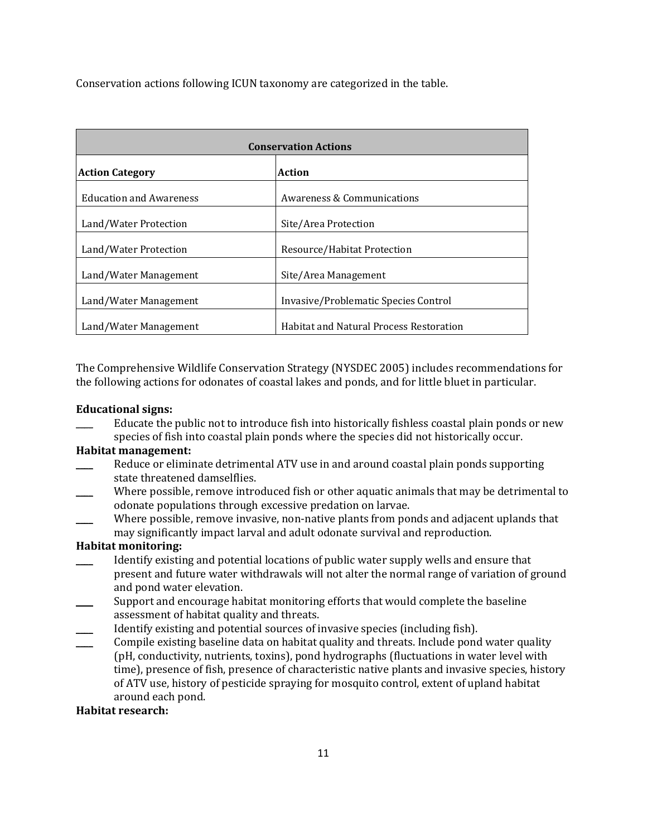Conservation actions following ICUN taxonomy are categorized in the table.

| <b>Conservation Actions</b>      |                                                |  |
|----------------------------------|------------------------------------------------|--|
| Action<br><b>Action Category</b> |                                                |  |
| <b>Education and Awareness</b>   | Awareness & Communications                     |  |
| Land/Water Protection            | Site/Area Protection                           |  |
| Land/Water Protection            | Resource/Habitat Protection                    |  |
| Land/Water Management            | Site/Area Management                           |  |
| Land/Water Management            | Invasive/Problematic Species Control           |  |
| Land/Water Management            | <b>Habitat and Natural Process Restoration</b> |  |

The Comprehensive Wildlife Conservation Strategy (NYSDEC 2005) includes recommendations for the following actions for odonates of coastal lakes and ponds, and for little bluet in particular.

#### **Educational signs:**

Educate the public not to introduce fish into historically fishless coastal plain ponds or new species of fish into coastal plain ponds where the species did not historically occur.

#### **Habitat management:**

- \_\_\_\_ Reduce or eliminate detrimental ATV use in and around coastal plain ponds supporting state threatened damselflies.
- Where possible, remove introduced fish or other aquatic animals that may be detrimental to odonate populations through excessive predation on larvae.
- Where possible, remove invasive, non-native plants from ponds and adjacent uplands that may significantly impact larval and adult odonate survival and reproduction.

#### **Habitat monitoring:**

- Identify existing and potential locations of public water supply wells and ensure that present and future water withdrawals will not alter the normal range of variation of ground and pond water elevation.
- Support and encourage habitat monitoring efforts that would complete the baseline assessment of habitat quality and threats.
- Identify existing and potential sources of invasive species (including fish).
- Compile existing baseline data on habitat quality and threats. Include pond water quality (pH, conductivity, nutrients, toxins), pond hydrographs (fluctuations in water level with time), presence of fish, presence of characteristic native plants and invasive species, history of ATV use, history of pesticide spraying for mosquito control, extent of upland habitat around each pond.

#### **Habitat research:**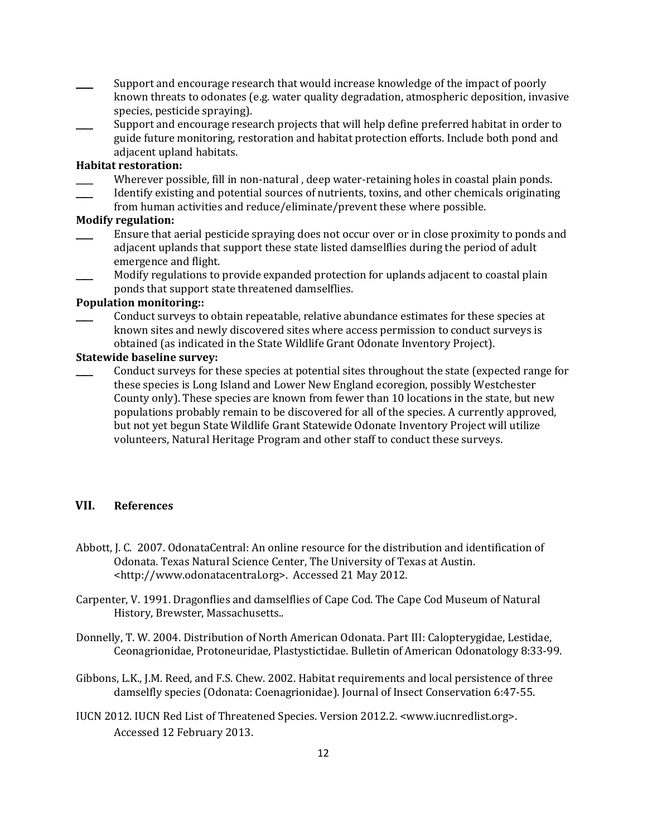- Support and encourage research that would increase knowledge of the impact of poorly known threats to odonates (e.g. water quality degradation, atmospheric deposition, invasive species, pesticide spraying).
- Support and encourage research projects that will help define preferred habitat in order to guide future monitoring, restoration and habitat protection efforts. Include both pond and adjacent upland habitats.

### **Habitat restoration:**

- Wherever possible, fill in non-natural, deep water-retaining holes in coastal plain ponds.
- \_\_\_\_ Identify existing and potential sources of nutrients, toxins, and other chemicals originating
- from human activities and reduce/eliminate/prevent these where possible.

#### **Modify regulation:**

- \_\_\_\_ Ensure that aerial pesticide spraying does not occur over or in close proximity to ponds and adjacent uplands that support these state listed damselflies during the period of adult emergence and flight.
- Modify regulations to provide expanded protection for uplands adjacent to coastal plain ponds that support state threatened damselflies.

# **Population monitoring::**

\_\_\_\_ Conduct surveys to obtain repeatable, relative abundance estimates for these species at known sites and newly discovered sites where access permission to conduct surveys is obtained (as indicated in the State Wildlife Grant Odonate Inventory Project).

#### **Statewide baseline survey:**

\_\_\_\_ Conduct surveys for these species at potential sites throughout the state (expected range for these species is Long Island and Lower New England ecoregion, possibly Westchester County only). These species are known from fewer than 10 locations in the state, but new populations probably remain to be discovered for all of the species. A currently approved, but not yet begun State Wildlife Grant Statewide Odonate Inventory Project will utilize volunteers, Natural Heritage Program and other staff to conduct these surveys.

# **VII. References**

- Abbott, J. C. 2007. OdonataCentral: An online resource for the distribution and identification of Odonata. Texas Natural Science Center, The University of Texas at Austin. <http://www.odonatacentral.org>. Accessed 21 May 2012.
- Carpenter, V. 1991. Dragonflies and damselflies of Cape Cod. The Cape Cod Museum of Natural History, Brewster, Massachusetts..
- Donnelly, T. W. 2004. Distribution of North American Odonata. Part III: Calopterygidae, Lestidae, Ceonagrionidae, Protoneuridae, Plastystictidae. Bulletin of American Odonatology 8:33-99.
- Gibbons, L.K., J.M. Reed, and F.S. Chew. 2002. Habitat requirements and local persistence of three damselfly species (Odonata: Coenagrionidae). Journal of Insect Conservation 6:47-55.
- IUCN 2012. IUCN Red List of Threatened Species. Version 2012.2. <www.iucnredlist.org>. Accessed 12 February 2013.